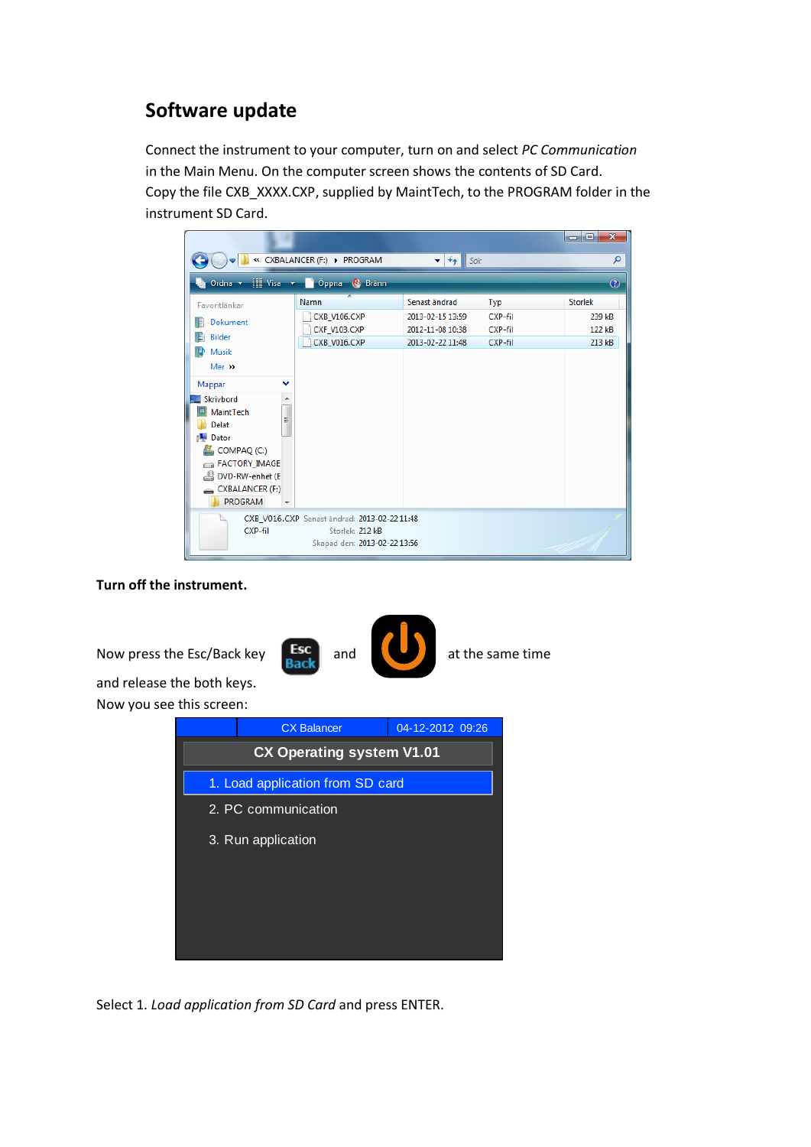## **Software update**

Connect the instrument to your computer, turn on and select *PC Communication*  in the Main Menu. On the computer screen shows the contents of SD Card. Copy the file CXB\_XXXX.CXP, supplied by MaintTech, to the PROGRAM folder in the instrument SD Card.



**Turn off the instrument.**

Now press the Esc/Back key  $\begin{bmatrix} \text{Esc} \\ \text{Back} \end{bmatrix}$  and  $\begin{bmatrix} 1 \\ 2 \end{bmatrix}$  at the same time





and release the both keys. Now you see this screen:



Select 1. *Load application from SD Card* and press ENTER.